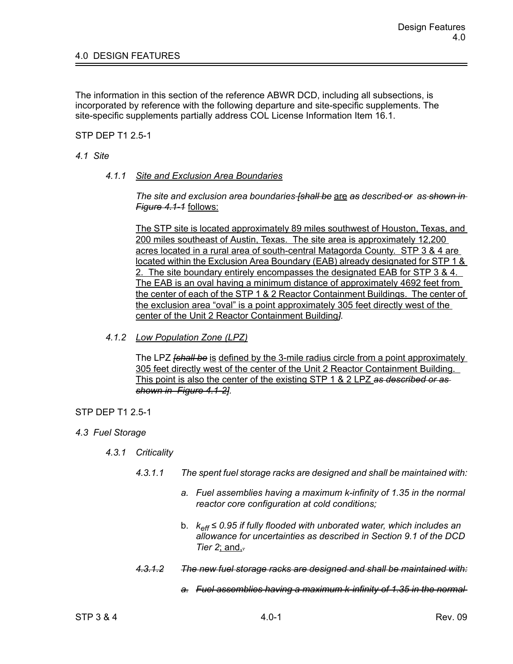The information in this section of the reference ABWR DCD, including all subsections, is incorporated by reference with the following departure and site-specific supplements. The site-specific supplements partially address COL License Information Item 16.1.

STP DEP T1 2.5-1

## *4.1 Site*

*4.1.1 Site and Exclusion Area Boundaries*

*The site and exclusion area boundaries [shall be* are *as described or as shown in Figure 4.1-1* follows:

The STP site is located approximately 89 miles southwest of Houston, Texas, and 200 miles southeast of Austin, Texas. The site area is approximately 12,200 acres located in a rural area of south-central Matagorda County. STP 3 & 4 are located within the Exclusion Area Boundary (EAB) already designated for STP 1 & 2. The site boundary entirely encompasses the designated EAB for STP 3 & 4. The EAB is an oval having a minimum distance of approximately 4692 feet from the center of each of the STP 1 & 2 Reactor Containment Buildings. The center of the exclusion area "oval" is a point approximately 305 feet directly west of the center of the Unit 2 Reactor Containment Building*].*

*4.1.2 Low Population Zone (LPZ)*

The LPZ *[shall be* is defined by the 3-mile radius circle from a point approximately 305 feet directly west of the center of the Unit 2 Reactor Containment Building. This point is also the center of the existing STP 1 & 2 LPZ *as described or as shown in Figure 4.1-2].*

## STP DEP T1 2.5-1

- *4.3 Fuel Storage*
	- *4.3.1 Criticality*
		- *4.3.1.1 The spent fuel storage racks are designed and shall be maintained with:*
			- *a. Fuel assemblies having a maximum k-infinity of 1.35 in the normal reactor core configuration at cold conditions;*
			- b. *keff ≤ 0.95 if fully flooded with unborated water, which includes an allowance for uncertainties as described in Section 9.1 of the DCD Tier 2*; and,*.*
		- *4.3.1.2 The new fuel storage racks are designed and shall be maintained with:*
			- *a. Fuel assemblies having a maximum k-infinity of 1.35 in the normal*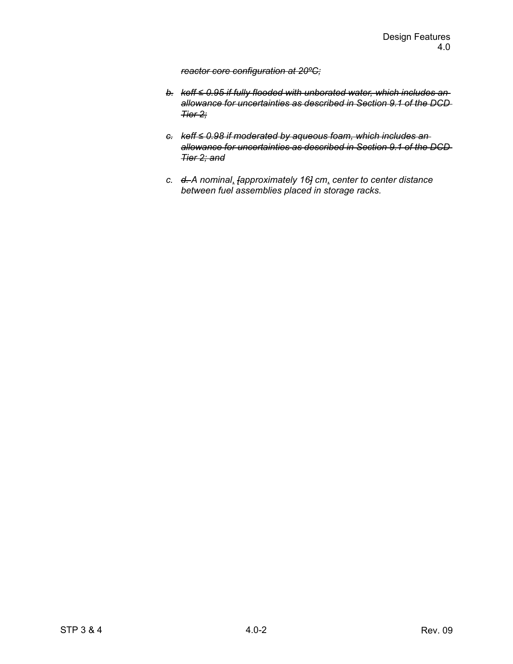## *reactor core configuration at 20ºC;*

- *b. keff ≤ 0.95 if fully flooded with unborated water, which includes an allowance for uncertainties as described in Section 9.1 of the DCD Tier 2;*
- *c. keff ≤ 0.98 if moderated by aqueous foam, which includes an allowance for uncertainties as described in Section 9.1 of the DCD Tier 2; and*
- *c. d. A nominal*, *[approximately 16] cm*, *center to center distance between fuel assemblies placed in storage racks.*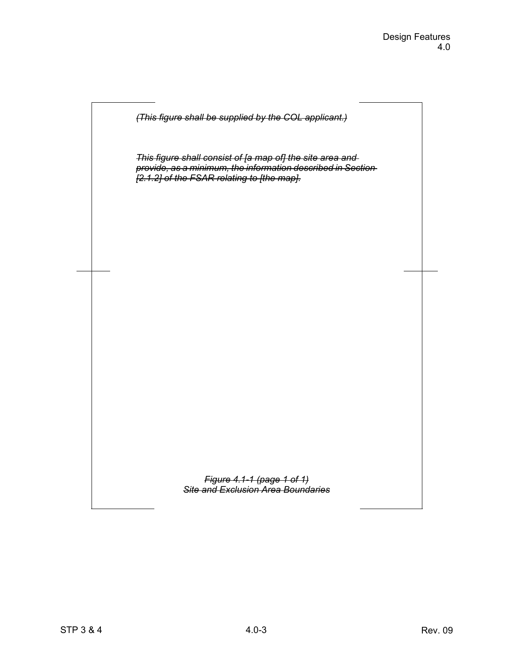

*This figure shall consist of [a map of] the site area and provide, as a minimum, the information described in Section [2.1.2] of the FSAR relating to [the map].*

> *Figure 4.1-1 (page 1 of 1) Site and Exclusion Area Boundaries*